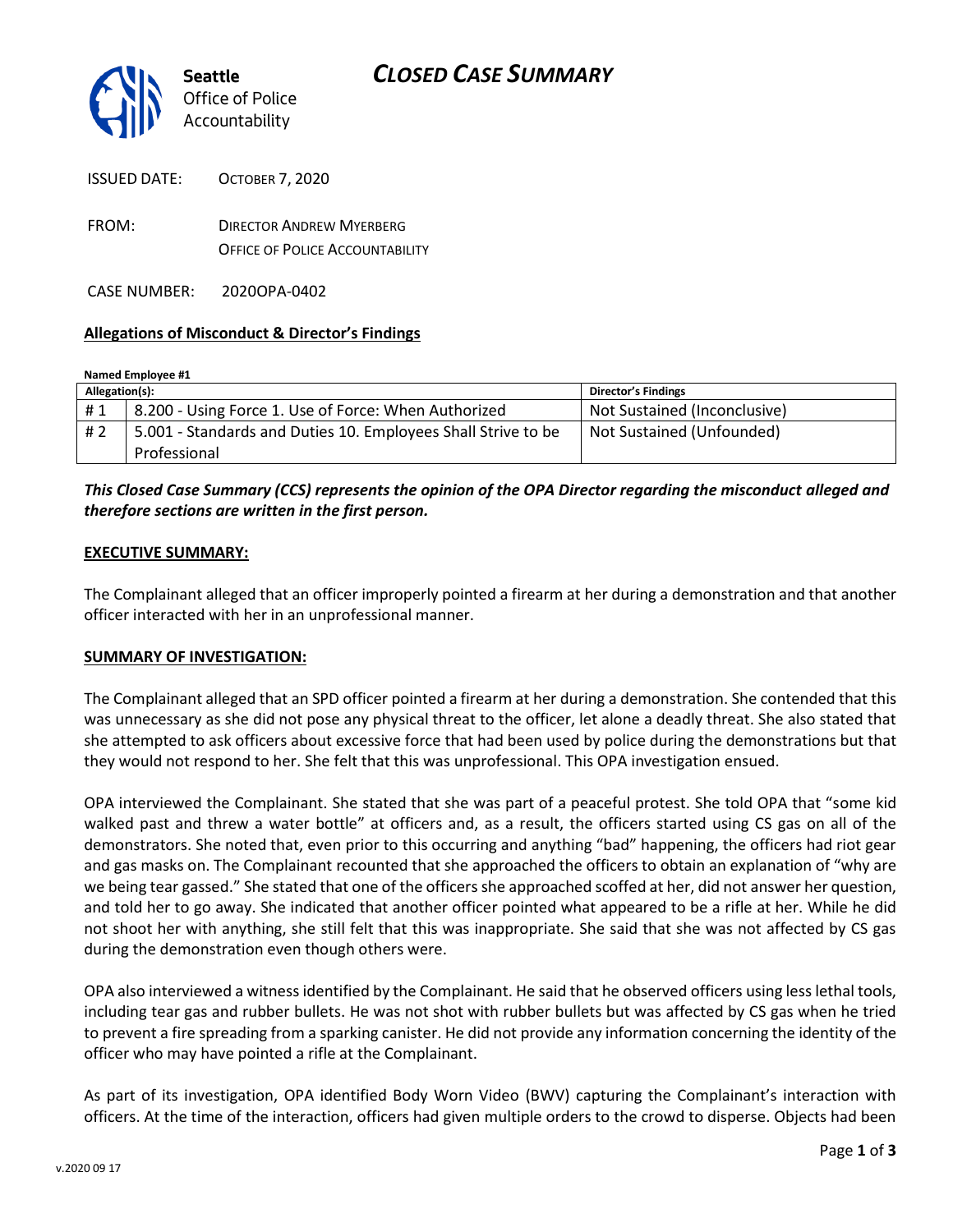

| ISSUED DATE: | <b>OCTOBER 7.2020</b>                                                     |
|--------------|---------------------------------------------------------------------------|
| FROM:        | <b>DIRECTOR ANDREW MYERBERG</b><br><b>OFFICE OF POLICE ACCOUNTABILITY</b> |
|              |                                                                           |

CASE NUMBER: 2020OPA-0402

#### **Allegations of Misconduct & Director's Findings**

| Allegation(s): |                                                               | <b>Director's Findings</b>   |  |
|----------------|---------------------------------------------------------------|------------------------------|--|
| #1             | 8.200 - Using Force 1. Use of Force: When Authorized          | Not Sustained (Inconclusive) |  |
| # 2            | 5.001 - Standards and Duties 10. Employees Shall Strive to be | Not Sustained (Unfounded)    |  |
|                | Professional                                                  |                              |  |

### *This Closed Case Summary (CCS) represents the opinion of the OPA Director regarding the misconduct alleged and therefore sections are written in the first person.*

#### **EXECUTIVE SUMMARY:**

The Complainant alleged that an officer improperly pointed a firearm at her during a demonstration and that another officer interacted with her in an unprofessional manner.

#### **SUMMARY OF INVESTIGATION:**

The Complainant alleged that an SPD officer pointed a firearm at her during a demonstration. She contended that this was unnecessary as she did not pose any physical threat to the officer, let alone a deadly threat. She also stated that she attempted to ask officers about excessive force that had been used by police during the demonstrations but that they would not respond to her. She felt that this was unprofessional. This OPA investigation ensued.

OPA interviewed the Complainant. She stated that she was part of a peaceful protest. She told OPA that "some kid walked past and threw a water bottle" at officers and, as a result, the officers started using CS gas on all of the demonstrators. She noted that, even prior to this occurring and anything "bad" happening, the officers had riot gear and gas masks on. The Complainant recounted that she approached the officers to obtain an explanation of "why are we being tear gassed." She stated that one of the officers she approached scoffed at her, did not answer her question, and told her to go away. She indicated that another officer pointed what appeared to be a rifle at her. While he did not shoot her with anything, she still felt that this was inappropriate. She said that she was not affected by CS gas during the demonstration even though others were.

OPA also interviewed a witness identified by the Complainant. He said that he observed officers using less lethal tools, including tear gas and rubber bullets. He was not shot with rubber bullets but was affected by CS gas when he tried to prevent a fire spreading from a sparking canister. He did not provide any information concerning the identity of the officer who may have pointed a rifle at the Complainant.

As part of its investigation, OPA identified Body Worn Video (BWV) capturing the Complainant's interaction with officers. At the time of the interaction, officers had given multiple orders to the crowd to disperse. Objects had been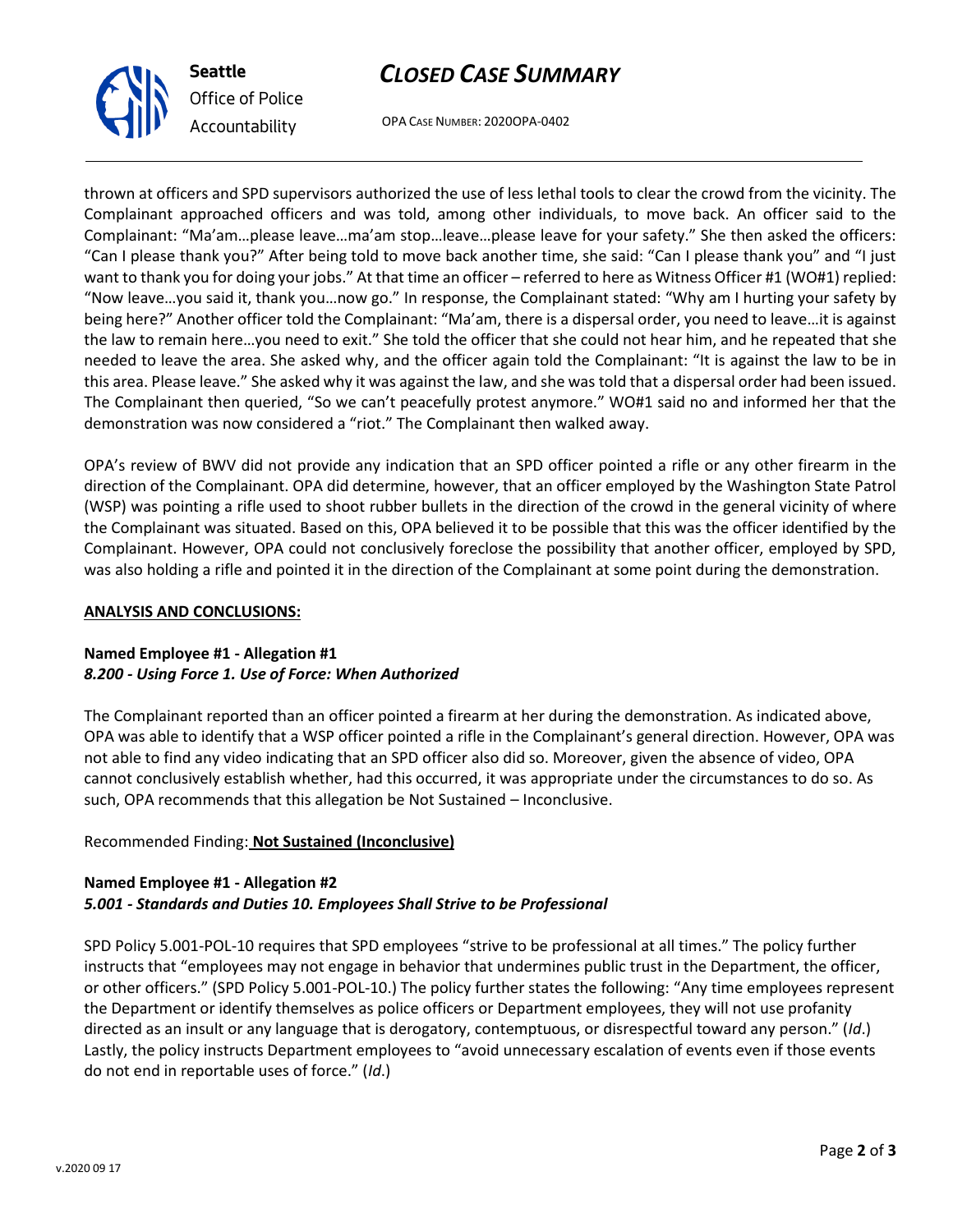# *CLOSED CASE SUMMARY*

OPA CASE NUMBER: 2020OPA-0402

thrown at officers and SPD supervisors authorized the use of less lethal tools to clear the crowd from the vicinity. The Complainant approached officers and was told, among other individuals, to move back. An officer said to the Complainant: "Ma'am…please leave…ma'am stop…leave…please leave for your safety." She then asked the officers: "Can I please thank you?" After being told to move back another time, she said: "Can I please thank you" and "I just want to thank you for doing your jobs." At that time an officer – referred to here as Witness Officer #1 (WO#1) replied: "Now leave…you said it, thank you…now go." In response, the Complainant stated: "Why am I hurting your safety by being here?" Another officer told the Complainant: "Ma'am, there is a dispersal order, you need to leave…it is against the law to remain here…you need to exit." She told the officer that she could not hear him, and he repeated that she needed to leave the area. She asked why, and the officer again told the Complainant: "It is against the law to be in this area. Please leave." She asked why it was against the law, and she was told that a dispersal order had been issued. The Complainant then queried, "So we can't peacefully protest anymore." WO#1 said no and informed her that the demonstration was now considered a "riot." The Complainant then walked away.

OPA's review of BWV did not provide any indication that an SPD officer pointed a rifle or any other firearm in the direction of the Complainant. OPA did determine, however, that an officer employed by the Washington State Patrol (WSP) was pointing a rifle used to shoot rubber bullets in the direction of the crowd in the general vicinity of where the Complainant was situated. Based on this, OPA believed it to be possible that this was the officer identified by the Complainant. However, OPA could not conclusively foreclose the possibility that another officer, employed by SPD, was also holding a rifle and pointed it in the direction of the Complainant at some point during the demonstration.

#### **ANALYSIS AND CONCLUSIONS:**

### **Named Employee #1 - Allegation #1** *8.200 - Using Force 1. Use of Force: When Authorized*

The Complainant reported than an officer pointed a firearm at her during the demonstration. As indicated above, OPA was able to identify that a WSP officer pointed a rifle in the Complainant's general direction. However, OPA was not able to find any video indicating that an SPD officer also did so. Moreover, given the absence of video, OPA cannot conclusively establish whether, had this occurred, it was appropriate under the circumstances to do so. As such, OPA recommends that this allegation be Not Sustained – Inconclusive.

# Recommended Finding: **Not Sustained (Inconclusive)**

# **Named Employee #1 - Allegation #2** *5.001 - Standards and Duties 10. Employees Shall Strive to be Professional*

SPD Policy 5.001-POL-10 requires that SPD employees "strive to be professional at all times." The policy further instructs that "employees may not engage in behavior that undermines public trust in the Department, the officer, or other officers." (SPD Policy 5.001-POL-10.) The policy further states the following: "Any time employees represent the Department or identify themselves as police officers or Department employees, they will not use profanity directed as an insult or any language that is derogatory, contemptuous, or disrespectful toward any person." (*Id*.) Lastly, the policy instructs Department employees to "avoid unnecessary escalation of events even if those events do not end in reportable uses of force." (*Id*.)



**Seattle**

*Office of Police Accountability*